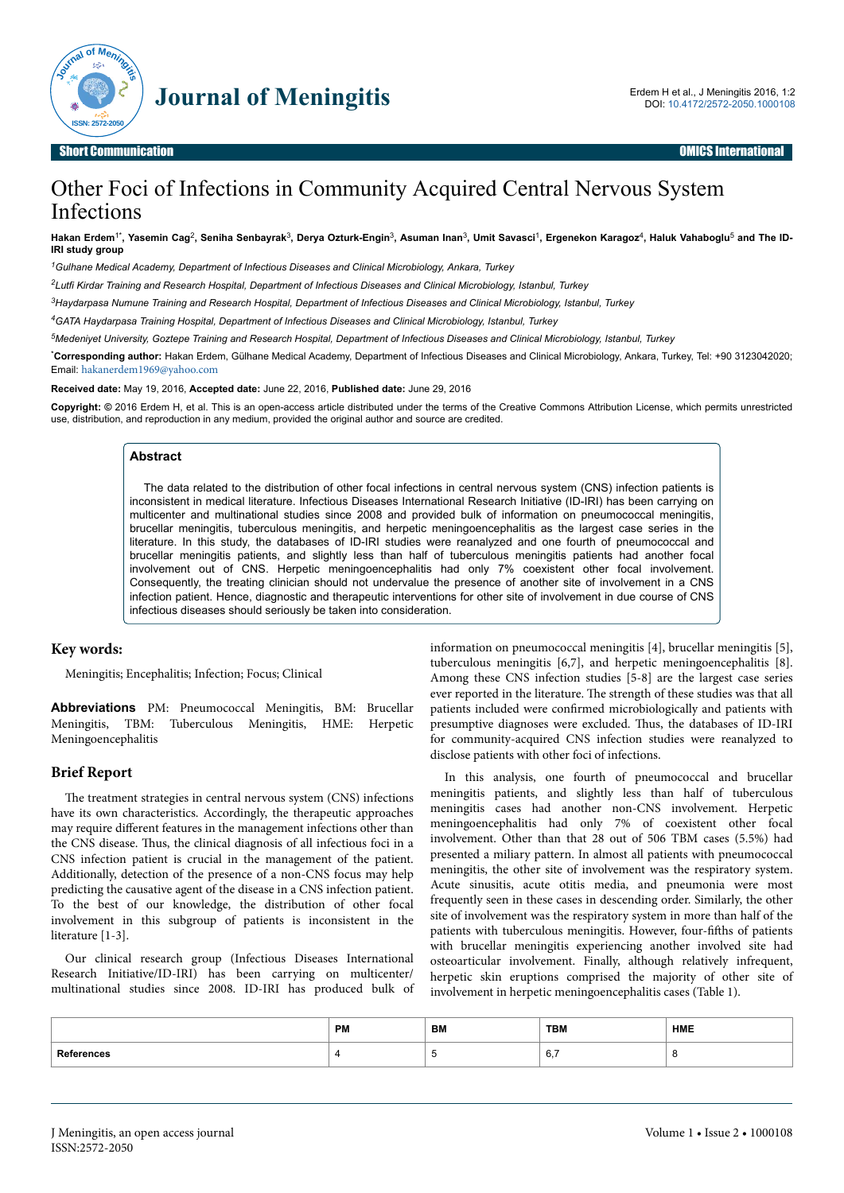

# **Journal of Meningitis**

# Other Foci of Infections in Community Acquired Central Nervous System Infections

Hakan Erdem<sup>1\*</sup>, Yasemin Cag<sup>2</sup>, Seniha Senbayrak<sup>3</sup>, Derya Ozturk-Engin<sup>3</sup>, Asuman Inan<sup>3</sup>, Umit Savasci<sup>1</sup>, Ergenekon Karagoz<sup>4</sup>, Haluk Vahaboglu<sup>5</sup> and The ID-**IRI study group**

*<sup>1</sup>Gulhane Medical Academy, Department of Infectious Diseases and Clinical Microbiology, Ankara, Turkey*

*<sup>2</sup>Lutfi Kirdar Training and Research Hospital, Department of Infectious Diseases and Clinical Microbiology, Istanbul, Turkey*

*<sup>3</sup>Haydarpasa Numune Training and Research Hospital, Department of Infectious Diseases and Clinical Microbiology, Istanbul, Turkey*

*<sup>4</sup>GATA Haydarpasa Training Hospital, Department of Infectious Diseases and Clinical Microbiology, Istanbul, Turkey*

*<sup>5</sup>Medeniyet University, Goztepe Training and Research Hospital, Department of Infectious Diseases and Clinical Microbiology, Istanbul, Turkey*

\***Corresponding author:** Hakan Erdem, Gülhane Medical Academy, Department of Infectious Diseases and Clinical Microbiology, Ankara, Turkey, Tel: +90 3123042020; Email: [hakanerdem1969@yahoo.com](mailto:hakanerdem1969@yahoo.com)

**Received date:** May 19, 2016, **Accepted date:** June 22, 2016, **Published date:** June 29, 2016

**Copyright: ©** 2016 Erdem H, et al. This is an open-access article distributed under the terms of the Creative Commons Attribution License, which permits unrestricted use, distribution, and reproduction in any medium, provided the original author and source are credited.

#### **Abstract**

The data related to the distribution of other focal infections in central nervous system (CNS) infection patients is inconsistent in medical literature. Infectious Diseases International Research Initiative (ID-IRI) has been carrying on multicenter and multinational studies since 2008 and provided bulk of information on pneumococcal meningitis, brucellar meningitis, tuberculous meningitis, and herpetic meningoencephalitis as the largest case series in the literature. In this study, the databases of ID-IRI studies were reanalyzed and one fourth of pneumococcal and brucellar meningitis patients, and slightly less than half of tuberculous meningitis patients had another focal involvement out of CNS. Herpetic meningoencephalitis had only 7% coexistent other focal involvement. Consequently, the treating clinician should not undervalue the presence of another site of involvement in a CNS infection patient. Hence, diagnostic and therapeutic interventions for other site of involvement in due course of CNS infectious diseases should seriously be taken into consideration.

#### **Key words:**

Meningitis; Encephalitis; Infection; Focus; Clinical

**Abbreviations** PM: Pneumococcal Meningitis, BM: Brucellar Meningitis, TBM: Tuberculous Meningitis, HME: Herpetic Meningoencephalitis

#### **Brief Report**

The treatment strategies in central nervous system (CNS) infections have its own characteristics. Accordingly, the therapeutic approaches may require different features in the management infections other than the CNS disease. Нus, the clinical diagnosis of all infectious foci in a CNS infection patient is crucial in the management of the patient. Additionally, detection of the presence of a non-CNS focus may help predicting the causative agent of the disease in a CNS infection patient. To the best of our knowledge, the distribution of other focal involvement in this subgroup of patients is inconsistent in the literature [1-3].

Our clinical research group (Infectious Diseases International Research Initiative/ID-IRI) has been carrying on multicenter/ multinational studies since 2008. ID-IRI has produced bulk of information on pneumococcal meningitis [4], brucellar meningitis [5], tuberculous meningitis [6,7], and herpetic meningoencephalitis [8]. Among these CNS infection studies [5-8] are the largest case series ever reported in the literature. Нe strength of these studies was that all patients included were confirmed microbiologically and patients with presumptive diagnoses were excluded. Нus, the databases of ID-IRI for community-acquired CNS infection studies were reanalyzed to disclose patients with other foci of infections.

In this analysis, one fourth of pneumococcal and brucellar meningitis patients, and slightly less than half of tuberculous meningitis cases had another non-CNS involvement. Herpetic meningoencephalitis had only 7% of coexistent other focal involvement. Other than that 28 out of 506 TBM cases (5.5%) had presented a miliary pattern. In almost all patients with pneumococcal meningitis, the other site of involvement was the respiratory system. Acute sinusitis, acute otitis media, and pneumonia were most frequently seen in these cases in descending order. Similarly, the other site of involvement was the respiratory system in more than half of the patients with tuberculous meningitis. However, four-fifths of patients with brucellar meningitis experiencing another involved site had osteoarticular involvement. Finally, although relatively infrequent, herpetic skin eruptions comprised the majority of other site of involvement in herpetic meningoencephalitis cases (Table 1).

|                   | PM | BM | TBM | HME |
|-------------------|----|----|-----|-----|
| <b>References</b> |    | ~  | 6,7 |     |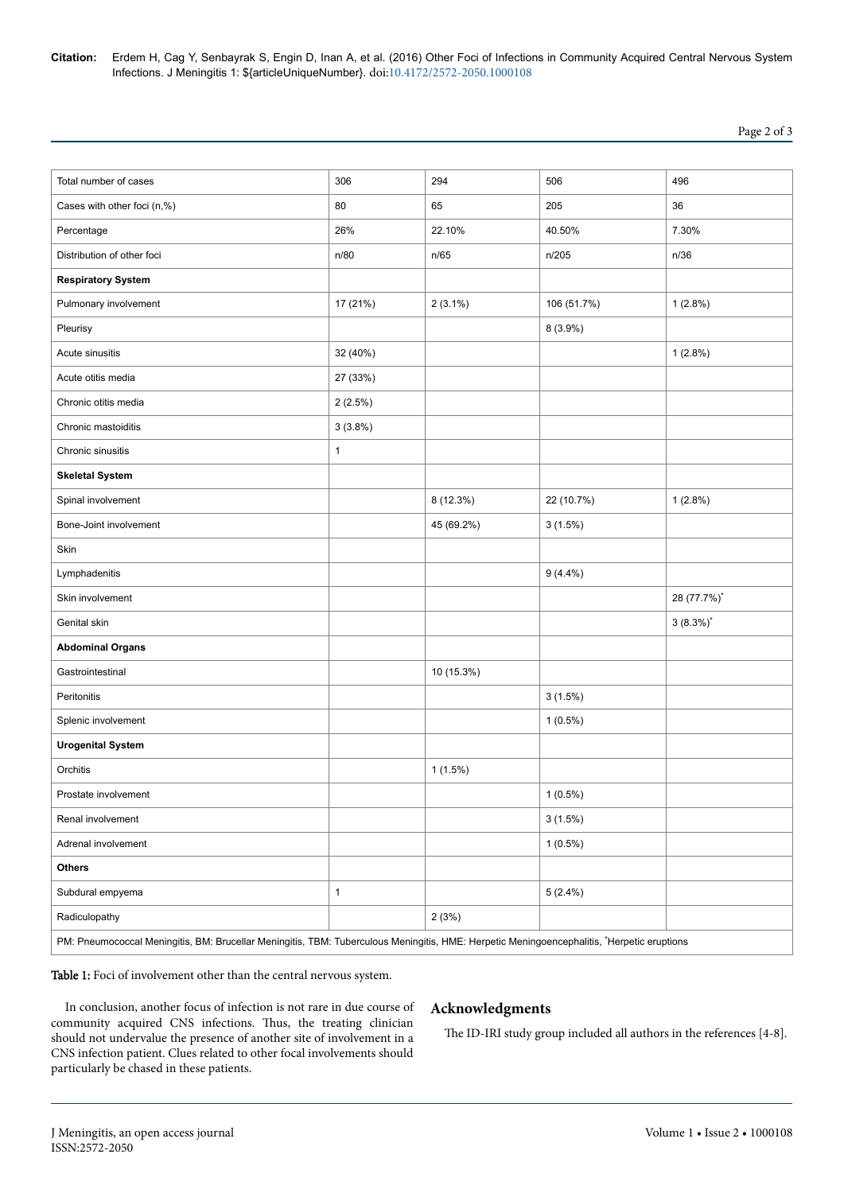| Total number of cases                                                                                                                      | 306          | 294        | 506         | 496          |  |  |
|--------------------------------------------------------------------------------------------------------------------------------------------|--------------|------------|-------------|--------------|--|--|
| Cases with other foci (n,%)                                                                                                                | 80           | 65         | 205         | 36           |  |  |
| Percentage                                                                                                                                 | 26%          | 22.10%     | 40.50%      | 7.30%        |  |  |
| Distribution of other foci                                                                                                                 | n/80         | n/65       | n/205       | n/36         |  |  |
| <b>Respiratory System</b>                                                                                                                  |              |            |             |              |  |  |
| Pulmonary involvement                                                                                                                      | 17 (21%)     | $2(3.1\%)$ | 106 (51.7%) | $1(2.8\%)$   |  |  |
| Pleurisy                                                                                                                                   |              |            | 8 (3.9%)    |              |  |  |
| Acute sinusitis                                                                                                                            | 32 (40%)     |            |             | $1(2.8\%)$   |  |  |
| Acute otitis media                                                                                                                         | 27 (33%)     |            |             |              |  |  |
| Chronic otitis media                                                                                                                       | $2(2.5\%)$   |            |             |              |  |  |
| Chronic mastoiditis                                                                                                                        | 3(3.8%)      |            |             |              |  |  |
| Chronic sinusitis                                                                                                                          | $\mathbf{1}$ |            |             |              |  |  |
| <b>Skeletal System</b>                                                                                                                     |              |            |             |              |  |  |
| Spinal involvement                                                                                                                         |              | 8 (12.3%)  | 22 (10.7%)  | $1(2.8\%)$   |  |  |
| Bone-Joint involvement                                                                                                                     |              | 45 (69.2%) | $3(1.5\%)$  |              |  |  |
| Skin                                                                                                                                       |              |            |             |              |  |  |
| Lymphadenitis                                                                                                                              |              |            | $9(4.4\%)$  |              |  |  |
| Skin involvement                                                                                                                           |              |            |             | 28 (77.7%)*  |  |  |
| Genital skin                                                                                                                               |              |            |             | $3(8.3\%)^*$ |  |  |
| <b>Abdominal Organs</b>                                                                                                                    |              |            |             |              |  |  |
| Gastrointestinal                                                                                                                           |              | 10 (15.3%) |             |              |  |  |
| Peritonitis                                                                                                                                |              |            | 3(1.5%)     |              |  |  |
| Splenic involvement                                                                                                                        |              |            | $1(0.5\%)$  |              |  |  |
| <b>Urogenital System</b>                                                                                                                   |              |            |             |              |  |  |
| Orchitis                                                                                                                                   |              | $1(1.5\%)$ |             |              |  |  |
| Prostate involvement                                                                                                                       |              |            | $1(0.5\%)$  |              |  |  |
| Renal involvement                                                                                                                          |              |            | $3(1.5\%)$  |              |  |  |
| Adrenal involvement                                                                                                                        |              |            | $1(0.5\%)$  |              |  |  |
| <b>Others</b>                                                                                                                              |              |            |             |              |  |  |
| Subdural empyema                                                                                                                           | $\mathbf{1}$ |            | $5(2.4\%)$  |              |  |  |
| Radiculopathy                                                                                                                              |              | 2(3%)      |             |              |  |  |
| PM: Pneumococcal Meningitis, BM: Brucellar Meningitis, TBM: Tuberculous Meningitis, HME: Herpetic Meningoencephalitis, *Herpetic eruptions |              |            |             |              |  |  |

Table 1: Foci of involvement other than the central nervous system.

In conclusion, another focus of infection is not rare in due course of community acquired CNS infections. Нus, the treating clinician should not undervalue the presence of another site of involvement in a CNS infection patient. Clues related to other focal involvements should particularly be chased in these patients.

## **Acknowledgments**

The ID-IRI study group included all authors in the references [4-8].